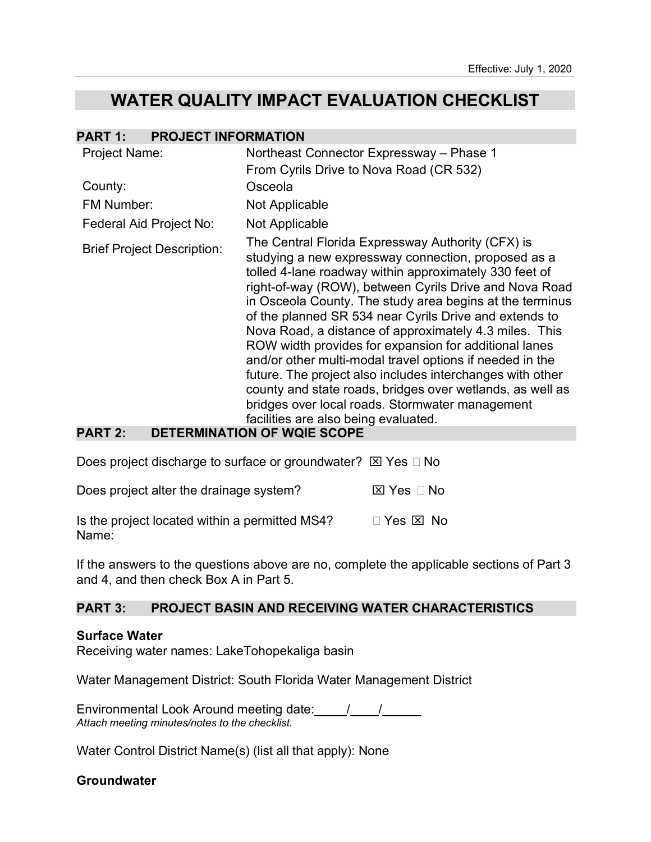# **WATER QUALITY IMPACT EVALUATION CHECKLIST**

| <b>Project Name:</b>                        | Northeast Connector Expressway - Phase 1                                                                                                                                                                                                                                                                                                                                                                                                                                                                                                                                                                                                                                                                                                                                  |
|---------------------------------------------|---------------------------------------------------------------------------------------------------------------------------------------------------------------------------------------------------------------------------------------------------------------------------------------------------------------------------------------------------------------------------------------------------------------------------------------------------------------------------------------------------------------------------------------------------------------------------------------------------------------------------------------------------------------------------------------------------------------------------------------------------------------------------|
|                                             |                                                                                                                                                                                                                                                                                                                                                                                                                                                                                                                                                                                                                                                                                                                                                                           |
|                                             | From Cyrils Drive to Nova Road (CR 532)                                                                                                                                                                                                                                                                                                                                                                                                                                                                                                                                                                                                                                                                                                                                   |
| County:                                     | Osceola                                                                                                                                                                                                                                                                                                                                                                                                                                                                                                                                                                                                                                                                                                                                                                   |
| FM Number:                                  | Not Applicable                                                                                                                                                                                                                                                                                                                                                                                                                                                                                                                                                                                                                                                                                                                                                            |
| Federal Aid Project No:                     | Not Applicable                                                                                                                                                                                                                                                                                                                                                                                                                                                                                                                                                                                                                                                                                                                                                            |
| <b>Brief Project Description:</b><br>80 T.T | The Central Florida Expressway Authority (CFX) is<br>studying a new expressway connection, proposed as a<br>tolled 4-lane roadway within approximately 330 feet of<br>right-of-way (ROW), between Cyrils Drive and Nova Road<br>in Osceola County. The study area begins at the terminus<br>of the planned SR 534 near Cyrils Drive and extends to<br>Nova Road, a distance of approximately 4.3 miles. This<br>ROW width provides for expansion for additional lanes<br>and/or other multi-modal travel options if needed in the<br>future. The project also includes interchanges with other<br>county and state roads, bridges over wetlands, as well as<br>bridges over local roads. Stormwater management<br>facilities are also being evaluated.<br>ILAF MAIF AAARF |

#### **PART 2: DETERMINATION OF WQIE SCOPE**

Does project discharge to surface or groundwater?  $\boxtimes$  Yes  $\Box$  No

| Does project alter the drainage system? | ⊠ Yes ⊡ No |
|-----------------------------------------|------------|
|-----------------------------------------|------------|

Is the project located within a permitted MS4?  $\Box$  Yes  $\boxtimes$  No Name:

If the answers to the questions above are no, complete the applicable sections of Part 3 and 4, and then check Box A in Part 5.

### **PART 3: PROJECT BASIN AND RECEIVING WATER CHARACTERISTICS**

### **Surface Water**

Receiving water names: LakeTohopekaliga basin

Water Management District: South Florida Water Management District

Environmental Look Around meeting date: / / *Attach meeting minutes/notes to the checklist.*

Water Control District Name(s) (list all that apply): None

### **Groundwater**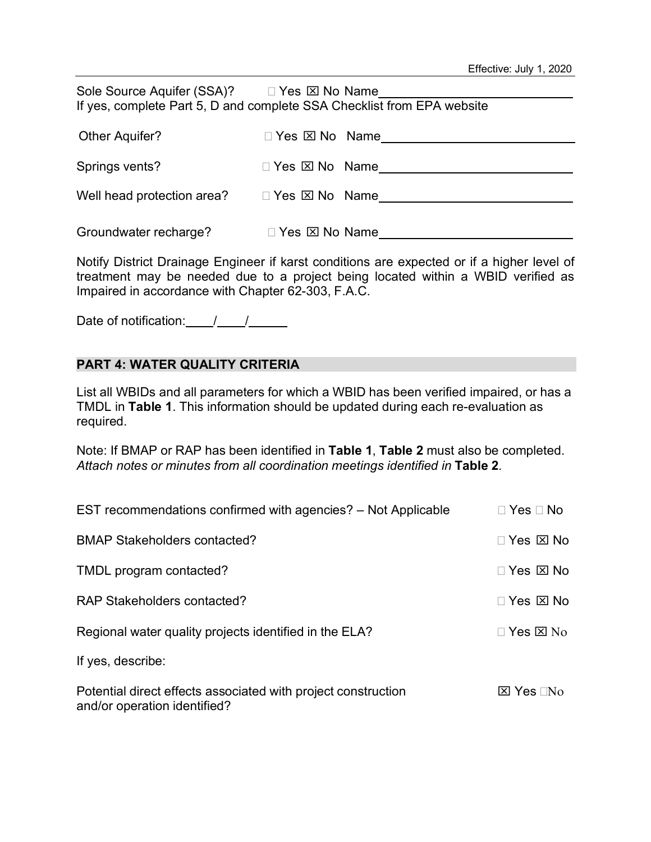| Sole Source Aquifer (SSA)? □ Yes ⊠ No Name<br>If yes, complete Part 5, D and complete SSA Checklist from EPA website |                                |  |  |  |  |  |
|----------------------------------------------------------------------------------------------------------------------|--------------------------------|--|--|--|--|--|
| Other Aquifer?                                                                                                       | □ Yes ⊠ No Name                |  |  |  |  |  |
| Springs vents?                                                                                                       | $\Box$ Yes $\boxtimes$ No Name |  |  |  |  |  |
| Well head protection area?                                                                                           | $\Box$ Yes $\boxtimes$ No Name |  |  |  |  |  |
|                                                                                                                      |                                |  |  |  |  |  |

Notify District Drainage Engineer if karst conditions are expected or if a higher level of treatment may be needed due to a project being located within a WBID verified as Impaired in accordance with Chapter 62-303, F.A.C.

Date of notification:  $\frac{1}{2}$  /  $\frac{1}{2}$ 

Groundwater recharge? **The State II Yes <b>EXI** No Name

### **PART 4: WATER QUALITY CRITERIA**

List all WBIDs and all parameters for which a WBID has been verified impaired, or has a TMDL in **Table 1**. This information should be updated during each re-evaluation as required.

Note: If BMAP or RAP has been identified in **Table 1**, **Table 2** must also be completed. *Attach notes or minutes from all coordination meetings identified in* **Table 2***.*

| EST recommendations confirmed with agencies? – Not Applicable                                 | $\Box$ Yes $\Box$ No      |
|-----------------------------------------------------------------------------------------------|---------------------------|
| <b>BMAP Stakeholders contacted?</b>                                                           | $\Box$ Yes $\boxtimes$ No |
| TMDL program contacted?                                                                       | $\Box$ Yes $\boxtimes$ No |
| RAP Stakeholders contacted?                                                                   | $\Box$ Yes $\boxtimes$ No |
| Regional water quality projects identified in the ELA?                                        | $\Box$ Yes $\boxtimes$ No |
| If yes, describe:                                                                             |                           |
| Potential direct effects associated with project construction<br>and/or operation identified? | $\boxtimes$ Yes $\Box$ No |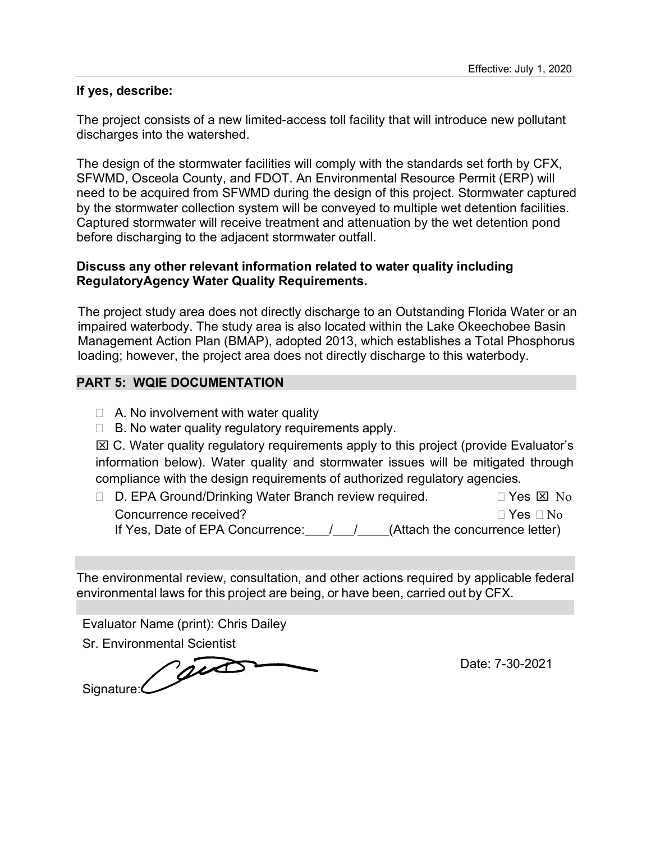#### **If yes, describe:**

The project consists of a new limited-access toll facility that will introduce new pollutant discharges into the watershed.

The design of the stormwater facilities will comply with the standards set forth by CFX, SFWMD, Osceola County, and FDOT. An Environmental Resource Permit (ERP) will need to be acquired from SFWMD during the design of this project. Stormwater captured by the stormwater collection system will be conveyed to multiple wet detention facilities. Captured stormwater will receive treatment and attenuation by the wet detention pond before discharging to the adjacent stormwater outfall.

#### **Discuss any other relevant information related to water quality including RegulatoryAgency Water Quality Requirements.**

The project study area does not directly discharge to an Outstanding Florida Water or an impaired waterbody. The study area is also located within the Lake Okeechobee Basin Management Action Plan (BMAP), adopted 2013, which establishes a Total Phosphorus loading; however, the project area does not directly discharge to this waterbody.

### **PART 5: WQIE DOCUMENTATION**

- $\Box$  A. No involvement with water quality
- $\Box$  B. No water quality regulatory requirements apply.

 $\boxtimes$  C. Water quality regulatory requirements apply to this project (provide Evaluator's information below). Water quality and stormwater issues will be mitigated through compliance with the design requirements of authorized regulatory agencies.

| □ D. EPA Ground/Drinking Water Branch review required. | $\Box$ Yes $\boxtimes$ No       |
|--------------------------------------------------------|---------------------------------|
| Concurrence received?                                  | $\Box$ Yes $\Box$ No            |
| If Yes, Date of EPA Concurrence:                       | (Attach the concurrence letter) |

The environmental review, consultation, and other actions required by applicable federal environmental laws for this project are being, or have been, carried out by CFX.

| Evaluator Name (print): Chris Dailey |                 |
|--------------------------------------|-----------------|
| <b>Sr. Environmental Scientist</b>   |                 |
| Signature:                           | Date: 7-30-2021 |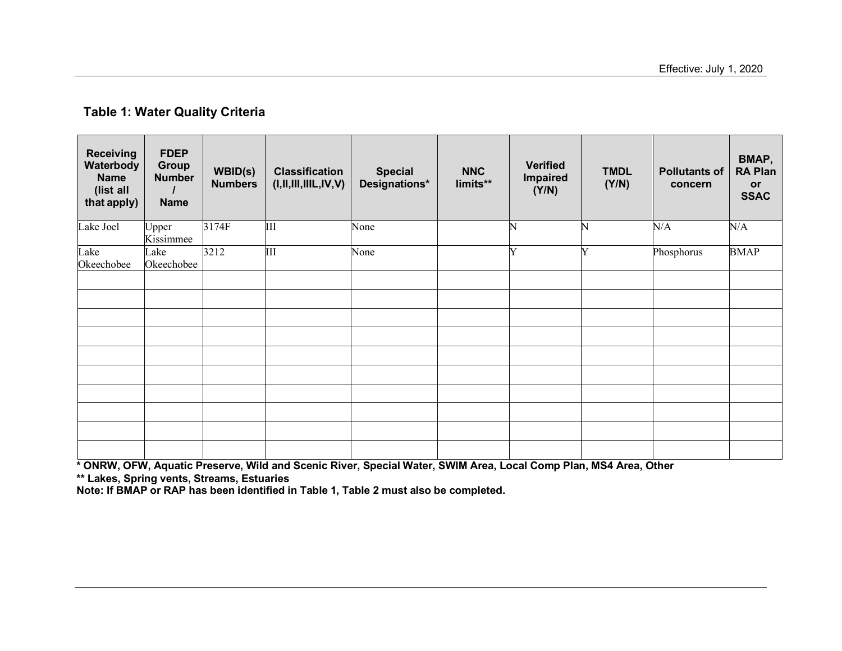### **Table 1: Water Quality Criteria**

| <b>Receiving</b><br>Waterbody<br><b>Name</b><br>(list all<br>that apply) | <b>FDEP</b><br>Group<br><b>Number</b><br><b>Name</b> | WBID(s)<br><b>Numbers</b> | <b>Classification</b><br>(I, II, III, IIIL, IV, V) | <b>Special</b><br>Designations* | <b>NNC</b><br>limits** | <b>Verified</b><br>Impaired<br>(Y/N) | <b>TMDL</b><br>(Y/N) | <b>Pollutants of</b><br>concern | BMAP,<br><b>RA Plan</b><br>or<br><b>SSAC</b> |
|--------------------------------------------------------------------------|------------------------------------------------------|---------------------------|----------------------------------------------------|---------------------------------|------------------------|--------------------------------------|----------------------|---------------------------------|----------------------------------------------|
| Lake Joel                                                                | Upper<br>Kissimmee                                   | 3174F                     | Ш                                                  | None                            |                        | N                                    | $\mathbb N$          | N/A                             | N/A                                          |
| Lake<br>Okeechobee                                                       | Lake<br>Okeechobee                                   | 3212                      | Ш                                                  | None                            |                        | Y                                    | Y                    | Phosphorus                      | <b>BMAP</b>                                  |
|                                                                          |                                                      |                           |                                                    |                                 |                        |                                      |                      |                                 |                                              |
|                                                                          |                                                      |                           |                                                    |                                 |                        |                                      |                      |                                 |                                              |
|                                                                          |                                                      |                           |                                                    |                                 |                        |                                      |                      |                                 |                                              |
|                                                                          |                                                      |                           |                                                    |                                 |                        |                                      |                      |                                 |                                              |
|                                                                          |                                                      |                           |                                                    |                                 |                        |                                      |                      |                                 |                                              |
|                                                                          |                                                      |                           |                                                    |                                 |                        |                                      |                      |                                 |                                              |
|                                                                          |                                                      |                           |                                                    |                                 |                        |                                      |                      |                                 |                                              |
|                                                                          |                                                      |                           |                                                    |                                 |                        |                                      |                      |                                 |                                              |
|                                                                          |                                                      |                           |                                                    |                                 |                        |                                      |                      |                                 |                                              |
|                                                                          |                                                      |                           |                                                    |                                 |                        |                                      |                      |                                 |                                              |

\* ONRW, OFW, Aquatic Preserve, Wild and Scenic River, Special Water, SWIM Area, Local Comp Plan, MS4 Area, Other

**\*\* Lakes, Spring vents, Streams, Estuaries**

**Note: If BMAP or RAP has been identified in Table 1, Table 2 must also be completed.**